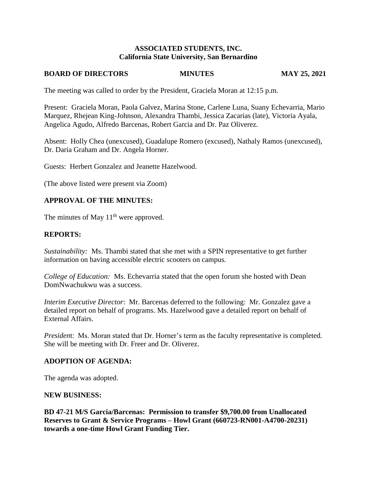#### **ASSOCIATED STUDENTS, INC. California State University, San Bernardino**

#### **BOARD OF DIRECTORS MINUTES MAY 25, 2021**

The meeting was called to order by the President, Graciela Moran at 12:15 p.m.

Present: Graciela Moran, Paola Galvez, Marina Stone, Carlene Luna, Suany Echevarria, Mario Marquez, Rhejean King-Johnson, Alexandra Thambi, Jessica Zacarias (late), Victoria Ayala, Angelica Agudo, Alfredo Barcenas, Robert Garcia and Dr. Paz Oliverez.

Absent: Holly Chea (unexcused), Guadalupe Romero (excused), Nathaly Ramos (unexcused), Dr. Daria Graham and Dr. Angela Horner.

Guests: Herbert Gonzalez and Jeanette Hazelwood.

(The above listed were present via Zoom)

### **APPROVAL OF THE MINUTES:**

The minutes of May  $11<sup>th</sup>$  were approved.

#### **REPORTS:**

*Sustainability:* Ms. Thambi stated that she met with a SPIN representative to get further information on having accessible electric scooters on campus.

*College of Education:* Ms. Echevarria stated that the open forum she hosted with Dean DomNwachukwu was a success.

*Interim Executive Director*: Mr. Barcenas deferred to the following: Mr. Gonzalez gave a detailed report on behalf of programs. Ms. Hazelwood gave a detailed report on behalf of External Affairs.

*President*: Ms. Moran stated that Dr. Horner's term as the faculty representative is completed. She will be meeting with Dr. Freer and Dr. Oliverez.

#### **ADOPTION OF AGENDA:**

The agenda was adopted.

#### **NEW BUSINESS:**

**BD 47-21 M/S Garcia/Barcenas: Permission to transfer \$9,700.00 from Unallocated Reserves to Grant & Service Programs – Howl Grant (660723-RN001-A4700-20231) towards a one-time Howl Grant Funding Tier.**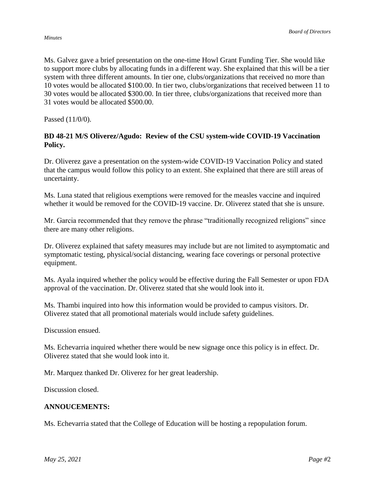Ms. Galvez gave a brief presentation on the one-time Howl Grant Funding Tier. She would like to support more clubs by allocating funds in a different way. She explained that this will be a tier system with three different amounts. In tier one, clubs/organizations that received no more than 10 votes would be allocated \$100.00. In tier two, clubs/organizations that received between 11 to 30 votes would be allocated \$300.00. In tier three, clubs/organizations that received more than 31 votes would be allocated \$500.00.

Passed (11/0/0).

## **BD 48-21 M/S Oliverez/Agudo: Review of the CSU system-wide COVID-19 Vaccination Policy.**

Dr. Oliverez gave a presentation on the system-wide COVID-19 Vaccination Policy and stated that the campus would follow this policy to an extent. She explained that there are still areas of uncertainty.

Ms. Luna stated that religious exemptions were removed for the measles vaccine and inquired whether it would be removed for the COVID-19 vaccine. Dr. Oliverez stated that she is unsure.

Mr. Garcia recommended that they remove the phrase "traditionally recognized religions" since there are many other religions.

Dr. Oliverez explained that safety measures may include but are not limited to asymptomatic and symptomatic testing, physical/social distancing, wearing face coverings or personal protective equipment.

Ms. Ayala inquired whether the policy would be effective during the Fall Semester or upon FDA approval of the vaccination. Dr. Oliverez stated that she would look into it.

Ms. Thambi inquired into how this information would be provided to campus visitors. Dr. Oliverez stated that all promotional materials would include safety guidelines.

Discussion ensued.

Ms. Echevarria inquired whether there would be new signage once this policy is in effect. Dr. Oliverez stated that she would look into it.

Mr. Marquez thanked Dr. Oliverez for her great leadership.

Discussion closed.

## **ANNOUCEMENTS:**

Ms. Echevarria stated that the College of Education will be hosting a repopulation forum.